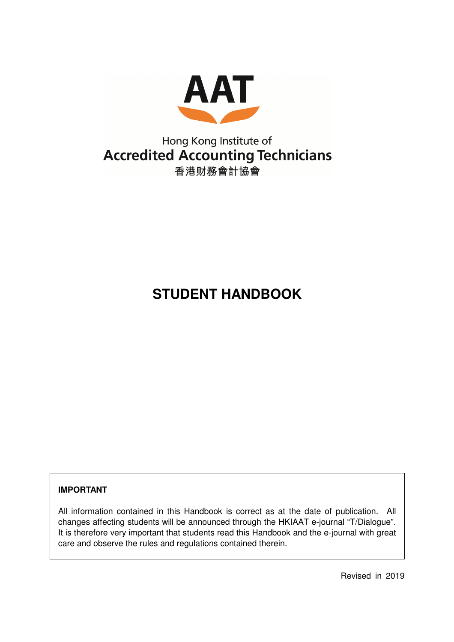

## Hong Kong Institute of **Accredited Accounting Technicians** 香港財務會計協會

# **STUDENT HANDBOOK**

## **IMPORTANT**

All information contained in this Handbook is correct as at the date of publication. All changes affecting students will be announced through the HKIAAT e-journal "T/Dialogue". It is therefore very important that students read this Handbook and the e-journal with great care and observe the rules and regulations contained therein.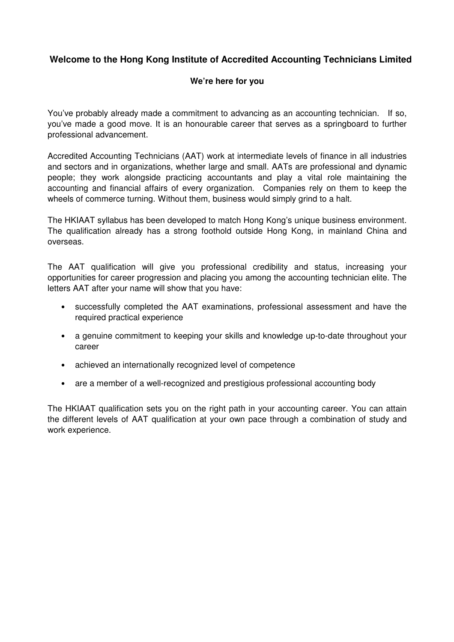## **Welcome to the Hong Kong Institute of Accredited Accounting Technicians Limited**

#### **We're here for you**

You've probably already made a commitment to advancing as an accounting technician. If so, you've made a good move. It is an honourable career that serves as a springboard to further professional advancement.

Accredited Accounting Technicians (AAT) work at intermediate levels of finance in all industries and sectors and in organizations, whether large and small. AATs are professional and dynamic people; they work alongside practicing accountants and play a vital role maintaining the accounting and financial affairs of every organization. Companies rely on them to keep the wheels of commerce turning. Without them, business would simply grind to a halt.

The HKIAAT syllabus has been developed to match Hong Kong's unique business environment. The qualification already has a strong foothold outside Hong Kong, in mainland China and overseas.

The AAT qualification will give you professional credibility and status, increasing your opportunities for career progression and placing you among the accounting technician elite. The letters AAT after your name will show that you have:

- successfully completed the AAT examinations, professional assessment and have the required practical experience
- a genuine commitment to keeping your skills and knowledge up-to-date throughout your career
- achieved an internationally recognized level of competence
- are a member of a well-recognized and prestigious professional accounting body

The HKIAAT qualification sets you on the right path in your accounting career. You can attain the different levels of AAT qualification at your own pace through a combination of study and work experience.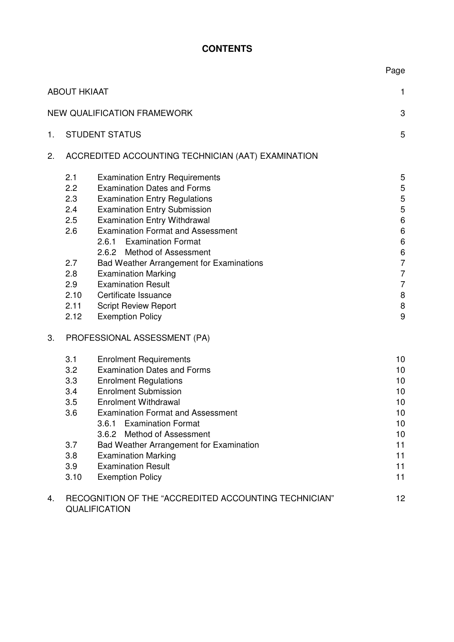## **CONTENTS**

Page

|    | <b>ABOUT HKIAAT</b> |                                                                               | 1                  |
|----|---------------------|-------------------------------------------------------------------------------|--------------------|
|    |                     | <b>NEW QUALIFICATION FRAMEWORK</b>                                            | 3                  |
| 1. |                     | <b>STUDENT STATUS</b>                                                         | 5                  |
| 2. |                     | ACCREDITED ACCOUNTING TECHNICIAN (AAT) EXAMINATION                            |                    |
|    | 2.1                 | <b>Examination Entry Requirements</b>                                         | 5                  |
|    | 2.2                 | <b>Examination Dates and Forms</b>                                            | 5                  |
|    | 2.3                 | <b>Examination Entry Regulations</b>                                          | 5                  |
|    | 2.4                 | <b>Examination Entry Submission</b>                                           | $\mathbf 5$        |
|    | 2.5                 | <b>Examination Entry Withdrawal</b>                                           | $\,6\,$            |
|    | 2.6                 | <b>Examination Format and Assessment</b>                                      | $\,6$              |
|    |                     | 2.6.1 Examination Format                                                      | $\,6\,$            |
|    |                     | 2.6.2 Method of Assessment                                                    | $\,6$              |
|    | 2.7                 | <b>Bad Weather Arrangement for Examinations</b>                               | $\overline{7}$     |
|    | 2.8                 | <b>Examination Marking</b>                                                    | $\overline{7}$     |
|    | 2.9                 | <b>Examination Result</b>                                                     | $\overline{7}$     |
|    | 2.10<br>2.11        | Certificate Issuance                                                          | $\,8\,$<br>$\,8\,$ |
|    | 2.12                | <b>Script Review Report</b><br><b>Exemption Policy</b>                        | 9                  |
|    |                     |                                                                               |                    |
| 3. |                     | PROFESSIONAL ASSESSMENT (PA)                                                  |                    |
|    | 3.1                 | <b>Enrolment Requirements</b>                                                 | 10                 |
|    | 3.2                 | <b>Examination Dates and Forms</b>                                            | 10                 |
|    | 3.3                 | <b>Enrolment Regulations</b>                                                  | 10                 |
|    | 3.4                 | <b>Enrolment Submission</b>                                                   | 10                 |
|    | 3.5                 | <b>Enrolment Withdrawal</b>                                                   | 10                 |
|    | 3.6                 | <b>Examination Format and Assessment</b>                                      | 10                 |
|    |                     | 3.6.1 Examination Format                                                      | 10                 |
|    |                     | 3.6.2 Method of Assessment                                                    | 10                 |
|    | 3.7                 | Bad Weather Arrangement for Examination                                       | 11                 |
|    | 3.8                 | <b>Examination Marking</b>                                                    | 11                 |
|    | 3.9                 | <b>Examination Result</b>                                                     | 11                 |
|    | 3.10                | <b>Exemption Policy</b>                                                       | 11                 |
| 4. |                     | RECOGNITION OF THE "ACCREDITED ACCOUNTING TECHNICIAN"<br><b>QUALIFICATION</b> | 12                 |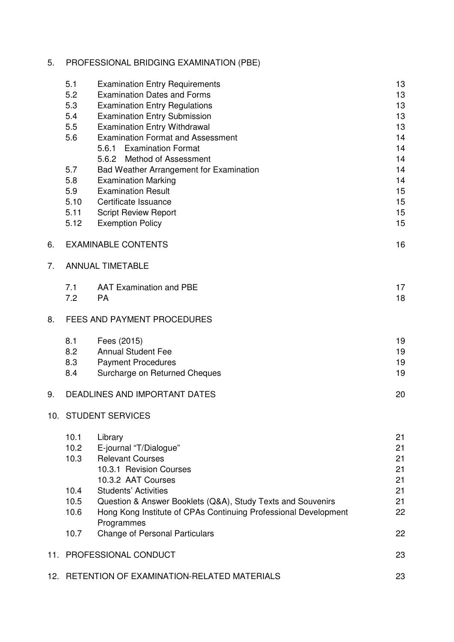## 5. PROFESSIONAL BRIDGING EXAMINATION (PBE)

|     | 5.1  | <b>Examination Entry Requirements</b>                           | 13 |
|-----|------|-----------------------------------------------------------------|----|
|     | 5.2  | <b>Examination Dates and Forms</b>                              | 13 |
|     | 5.3  | <b>Examination Entry Regulations</b>                            | 13 |
|     | 5.4  | <b>Examination Entry Submission</b>                             | 13 |
|     | 5.5  | <b>Examination Entry Withdrawal</b>                             | 13 |
|     | 5.6  | <b>Examination Format and Assessment</b>                        | 14 |
|     |      | 5.6.1 Examination Format                                        | 14 |
|     |      | <b>Method of Assessment</b><br>5.6.2                            | 14 |
|     | 5.7  | Bad Weather Arrangement for Examination                         | 14 |
|     | 5.8  | <b>Examination Marking</b>                                      | 14 |
|     | 5.9  | <b>Examination Result</b>                                       | 15 |
|     | 5.10 | Certificate Issuance                                            | 15 |
|     | 5.11 | <b>Script Review Report</b>                                     | 15 |
|     | 5.12 | <b>Exemption Policy</b>                                         | 15 |
| 6.  |      | <b>EXAMINABLE CONTENTS</b>                                      | 16 |
| 7.  |      | <b>ANNUAL TIMETABLE</b>                                         |    |
|     | 7.1  | <b>AAT Examination and PBE</b>                                  | 17 |
|     | 7.2  | <b>PA</b>                                                       | 18 |
| 8.  |      | <b>FEES AND PAYMENT PROCEDURES</b>                              |    |
|     | 8.1  | Fees (2015)                                                     | 19 |
|     | 8.2  | <b>Annual Student Fee</b>                                       | 19 |
|     | 8.3  | <b>Payment Procedures</b>                                       | 19 |
|     | 8.4  | Surcharge on Returned Cheques                                   | 19 |
| 9.  |      | <b>DEADLINES AND IMPORTANT DATES</b>                            | 20 |
|     |      | 10. STUDENT SERVICES                                            |    |
|     | 10.1 | Library                                                         | 21 |
|     | 10.2 | E-journal "T/Dialogue"                                          | 21 |
|     | 10.3 | <b>Relevant Courses</b>                                         | 21 |
|     |      | 10.3.1 Revision Courses                                         | 21 |
|     |      | 10.3.2 AAT Courses                                              | 21 |
|     | 10.4 | <b>Students' Activities</b>                                     | 21 |
|     | 10.5 | Question & Answer Booklets (Q&A), Study Texts and Souvenirs     | 21 |
|     | 10.6 | Hong Kong Institute of CPAs Continuing Professional Development | 22 |
|     |      | Programmes                                                      |    |
|     | 10.7 | <b>Change of Personal Particulars</b>                           | 22 |
| 11. |      | <b>PROFESSIONAL CONDUCT</b>                                     | 23 |
|     |      | 12. RETENTION OF EXAMINATION-RELATED MATERIALS                  | 23 |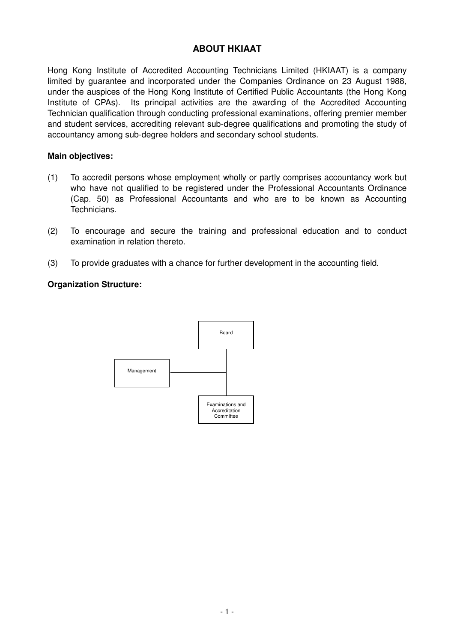## **ABOUT HKIAAT**

Hong Kong Institute of Accredited Accounting Technicians Limited (HKIAAT) is a company limited by guarantee and incorporated under the Companies Ordinance on 23 August 1988, under the auspices of the Hong Kong Institute of Certified Public Accountants (the Hong Kong Institute of CPAs). Its principal activities are the awarding of the Accredited Accounting Technician qualification through conducting professional examinations, offering premier member and student services, accrediting relevant sub-degree qualifications and promoting the study of accountancy among sub-degree holders and secondary school students.

#### **Main objectives:**

- (1) To accredit persons whose employment wholly or partly comprises accountancy work but who have not qualified to be registered under the Professional Accountants Ordinance (Cap. 50) as Professional Accountants and who are to be known as Accounting Technicians.
- (2) To encourage and secure the training and professional education and to conduct examination in relation thereto.
- (3) To provide graduates with a chance for further development in the accounting field.

#### **Organization Structure:**

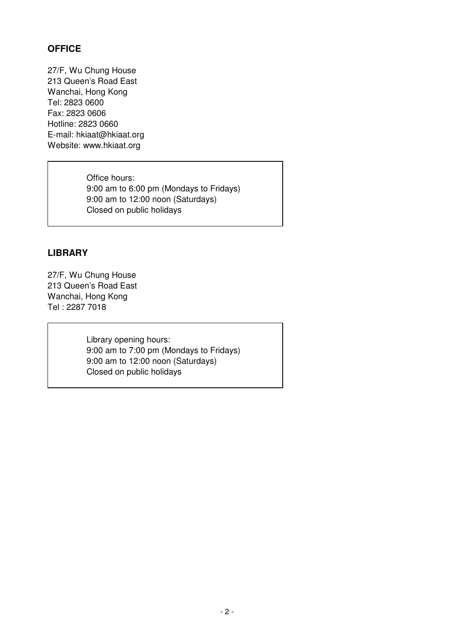## **OFFICE**

27/F, Wu Chung House 213 Queen's Road East Wanchai, Hong Kong Tel: 2823 0600 Fax: 2823 0606 Hotline: 2823 0660 E-mail: hkiaat@hkiaat.org Website: www.hkiaat.org

> Office hours: 9:00 am to 6:00 pm (Mondays to Fridays) 9:00 am to 12:00 noon (Saturdays) Closed on public holidays

## **LIBRARY**

27/F, Wu Chung House 213 Queen's Road East Wanchai, Hong Kong Tel : 2287 7018

> Library opening hours: 9:00 am to 7:00 pm (Mondays to Fridays) 9:00 am to 12:00 noon (Saturdays) Closed on public holidays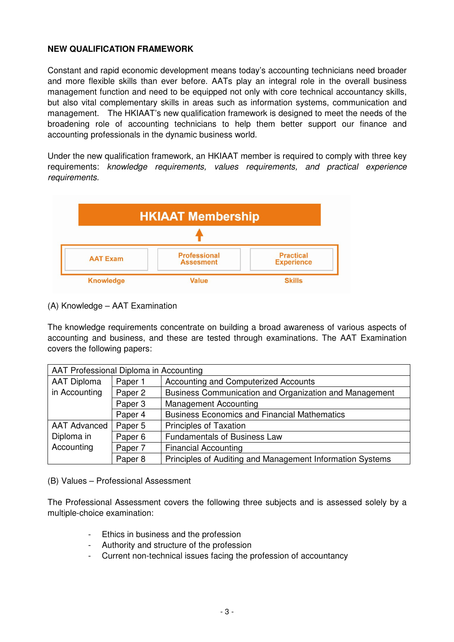#### **NEW QUALIFICATION FRAMEWORK**

Constant and rapid economic development means today's accounting technicians need broader and more flexible skills than ever before. AATs play an integral role in the overall business management function and need to be equipped not only with core technical accountancy skills, but also vital complementary skills in areas such as information systems, communication and management. The HKIAAT's new qualification framework is designed to meet the needs of the broadening role of accounting technicians to help them better support our finance and accounting professionals in the dynamic business world.

Under the new qualification framework, an HKIAAT member is required to comply with three key requirements: knowledge requirements, values requirements, and practical experience requirements.



(A) Knowledge – AAT Examination

The knowledge requirements concentrate on building a broad awareness of various aspects of accounting and business, and these are tested through examinations. The AAT Examination covers the following papers:

| AAT Professional Diploma in Accounting |         |                                                           |  |
|----------------------------------------|---------|-----------------------------------------------------------|--|
| <b>AAT Diploma</b>                     | Paper 1 | Accounting and Computerized Accounts                      |  |
| in Accounting                          | Paper 2 | Business Communication and Organization and Management    |  |
|                                        | Paper 3 | <b>Management Accounting</b>                              |  |
|                                        | Paper 4 | <b>Business Economics and Financial Mathematics</b>       |  |
| <b>AAT Advanced</b>                    | Paper 5 | <b>Principles of Taxation</b>                             |  |
| Diploma in                             | Paper 6 | <b>Fundamentals of Business Law</b>                       |  |
| Accounting                             | Paper 7 | <b>Financial Accounting</b>                               |  |
|                                        | Paper 8 | Principles of Auditing and Management Information Systems |  |

(B) Values – Professional Assessment

The Professional Assessment covers the following three subjects and is assessed solely by a multiple-choice examination:

- Ethics in business and the profession
- Authority and structure of the profession
- Current non-technical issues facing the profession of accountancy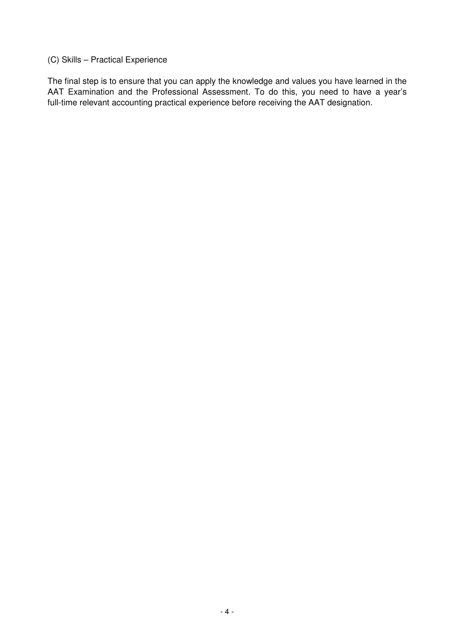## (C) Skills – Practical Experience

The final step is to ensure that you can apply the knowledge and values you have learned in the AAT Examination and the Professional Assessment. To do this, you need to have a year's full-time relevant accounting practical experience before receiving the AAT designation.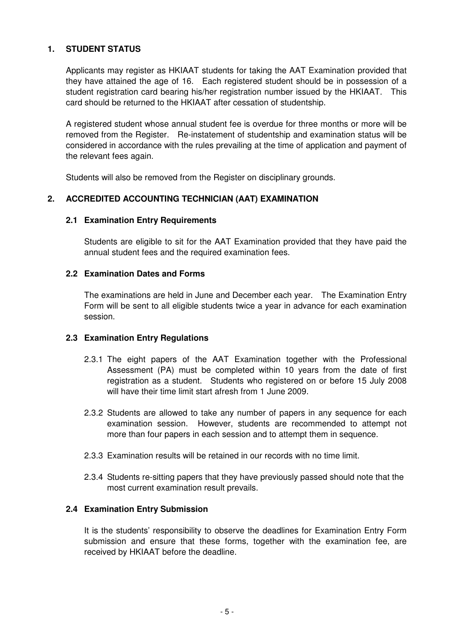#### **1. STUDENT STATUS**

Applicants may register as HKIAAT students for taking the AAT Examination provided that they have attained the age of 16. Each registered student should be in possession of a student registration card bearing his/her registration number issued by the HKIAAT. This card should be returned to the HKIAAT after cessation of studentship.

A registered student whose annual student fee is overdue for three months or more will be removed from the Register. Re-instatement of studentship and examination status will be considered in accordance with the rules prevailing at the time of application and payment of the relevant fees again.

Students will also be removed from the Register on disciplinary grounds.

#### **2. ACCREDITED ACCOUNTING TECHNICIAN (AAT) EXAMINATION**

#### **2.1 Examination Entry Requirements**

Students are eligible to sit for the AAT Examination provided that they have paid the annual student fees and the required examination fees.

#### **2.2 Examination Dates and Forms**

The examinations are held in June and December each year. The Examination Entry Form will be sent to all eligible students twice a year in advance for each examination session.

#### **2.3 Examination Entry Regulations**

- 2.3.1 The eight papers of the AAT Examination together with the Professional Assessment (PA) must be completed within 10 years from the date of first registration as a student. Students who registered on or before 15 July 2008 will have their time limit start afresh from 1 June 2009.
- 2.3.2 Students are allowed to take any number of papers in any sequence for each examination session. However, students are recommended to attempt not more than four papers in each session and to attempt them in sequence.
- 2.3.3 Examination results will be retained in our records with no time limit.
- 2.3.4 Students re-sitting papers that they have previously passed should note that the most current examination result prevails.

#### **2.4 Examination Entry Submission**

It is the students' responsibility to observe the deadlines for Examination Entry Form submission and ensure that these forms, together with the examination fee, are received by HKIAAT before the deadline.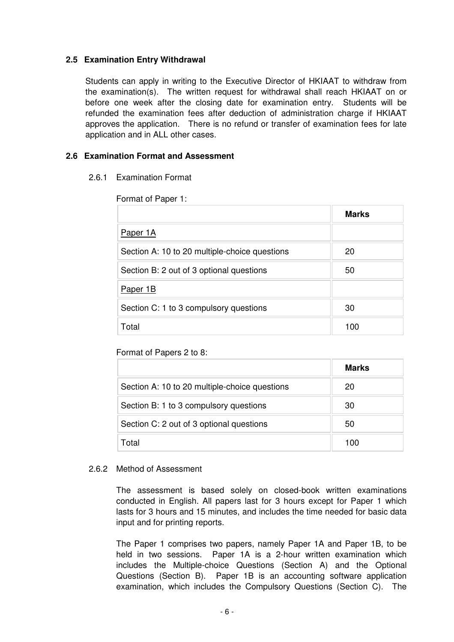#### **2.5 Examination Entry Withdrawal**

Students can apply in writing to the Executive Director of HKIAAT to withdraw from the examination(s). The written request for withdrawal shall reach HKIAAT on or before one week after the closing date for examination entry. Students will be refunded the examination fees after deduction of administration charge if HKIAAT approves the application. There is no refund or transfer of examination fees for late application and in ALL other cases.

#### **2.6 Examination Format and Assessment**

#### 2.6.1 Examination Format

Format of Paper 1:

|                                               | <b>Marks</b> |
|-----------------------------------------------|--------------|
| Paper 1A                                      |              |
| Section A: 10 to 20 multiple-choice questions | 20           |
| Section B: 2 out of 3 optional questions      | 50           |
| Paper 1B                                      |              |
| Section C: 1 to 3 compulsory questions        | 30           |
| Total                                         | 100          |

#### Format of Papers 2 to 8:

|                                               | <b>Marks</b> |
|-----------------------------------------------|--------------|
| Section A: 10 to 20 multiple-choice questions | 20           |
| Section B: 1 to 3 compulsory questions        | 30           |
| Section C: 2 out of 3 optional questions      | 50           |
| Total                                         | 100          |

#### 2.6.2 Method of Assessment

The assessment is based solely on closed-book written examinations conducted in English. All papers last for 3 hours except for Paper 1 which lasts for 3 hours and 15 minutes, and includes the time needed for basic data input and for printing reports.

The Paper 1 comprises two papers, namely Paper 1A and Paper 1B, to be held in two sessions. Paper 1A is a 2-hour written examination which includes the Multiple-choice Questions (Section A) and the Optional Questions (Section B). Paper 1B is an accounting software application examination, which includes the Compulsory Questions (Section C). The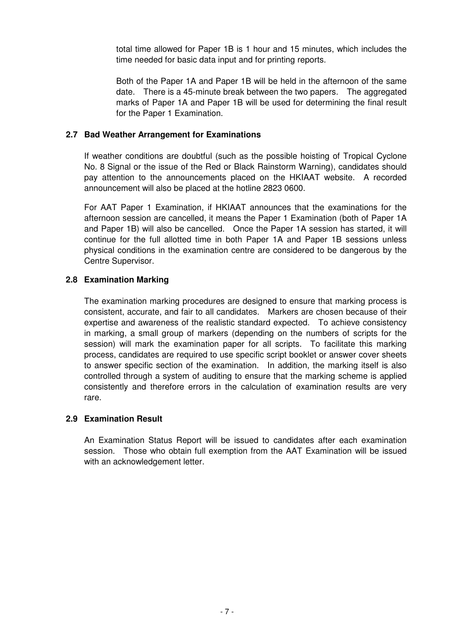total time allowed for Paper 1B is 1 hour and 15 minutes, which includes the time needed for basic data input and for printing reports.

Both of the Paper 1A and Paper 1B will be held in the afternoon of the same date. There is a 45-minute break between the two papers. The aggregated marks of Paper 1A and Paper 1B will be used for determining the final result for the Paper 1 Examination.

#### **2.7 Bad Weather Arrangement for Examinations**

If weather conditions are doubtful (such as the possible hoisting of Tropical Cyclone No. 8 Signal or the issue of the Red or Black Rainstorm Warning), candidates should pay attention to the announcements placed on the HKIAAT website. A recorded announcement will also be placed at the hotline 2823 0600.

For AAT Paper 1 Examination, if HKIAAT announces that the examinations for the afternoon session are cancelled, it means the Paper 1 Examination (both of Paper 1A and Paper 1B) will also be cancelled. Once the Paper 1A session has started, it will continue for the full allotted time in both Paper 1A and Paper 1B sessions unless physical conditions in the examination centre are considered to be dangerous by the Centre Supervisor.

#### **2.8 Examination Marking**

The examination marking procedures are designed to ensure that marking process is consistent, accurate, and fair to all candidates. Markers are chosen because of their expertise and awareness of the realistic standard expected. To achieve consistency in marking, a small group of markers (depending on the numbers of scripts for the session) will mark the examination paper for all scripts. To facilitate this marking process, candidates are required to use specific script booklet or answer cover sheets to answer specific section of the examination. In addition, the marking itself is also controlled through a system of auditing to ensure that the marking scheme is applied consistently and therefore errors in the calculation of examination results are very rare.

#### **2.9 Examination Result**

An Examination Status Report will be issued to candidates after each examination session. Those who obtain full exemption from the AAT Examination will be issued with an acknowledgement letter.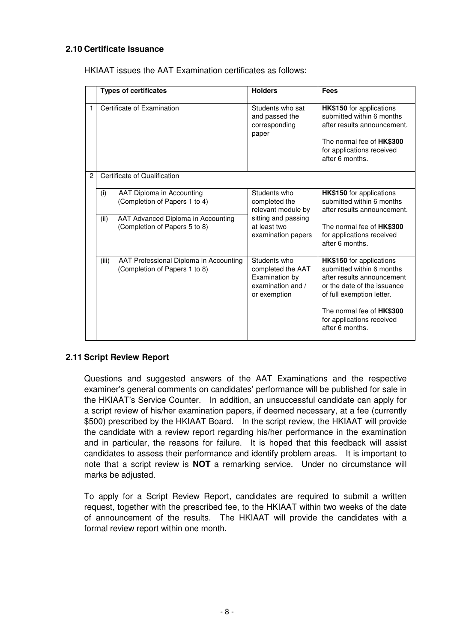#### **2.10 Certificate Issuance**

HKIAAT issues the AAT Examination certificates as follows:

|                |       | <b>Types of certificates</b>                                            | <b>Holders</b>                                                                           | <b>Fees</b>                                                                                                                                                                     |
|----------------|-------|-------------------------------------------------------------------------|------------------------------------------------------------------------------------------|---------------------------------------------------------------------------------------------------------------------------------------------------------------------------------|
| $\mathbf{1}$   |       | Certificate of Examination                                              | Students who sat<br>and passed the<br>corresponding<br>paper                             | <b>HK\$150</b> for applications<br>submitted within 6 months<br>after results announcement.<br>The normal fee of <b>HK\$300</b><br>for applications received<br>after 6 months. |
| $\overline{2}$ |       | Certificate of Qualification                                            |                                                                                          |                                                                                                                                                                                 |
|                | (i)   | AAT Diploma in Accounting<br>(Completion of Papers 1 to 4)              | Students who<br>completed the<br>relevant module by                                      | HK\$150 for applications<br>submitted within 6 months<br>after results announcement.                                                                                            |
|                | (ii)  | AAT Advanced Diploma in Accounting<br>(Completion of Papers 5 to 8)     | sitting and passing<br>at least two<br>examination papers                                | The normal fee of HK\$300<br>for applications received<br>after 6 months.                                                                                                       |
|                | (iii) | AAT Professional Diploma in Accounting<br>(Completion of Papers 1 to 8) | Students who<br>completed the AAT<br>Examination by<br>examination and /<br>or exemption | HK\$150 for applications<br>submitted within 6 months<br>after results announcement<br>or the date of the issuance<br>of full exemption letter.                                 |
|                |       |                                                                         |                                                                                          | The normal fee of HK\$300<br>for applications received<br>after 6 months.                                                                                                       |

#### **2.11 Script Review Report**

Questions and suggested answers of the AAT Examinations and the respective examiner's general comments on candidates' performance will be published for sale in the HKIAAT's Service Counter. In addition, an unsuccessful candidate can apply for a script review of his/her examination papers, if deemed necessary, at a fee (currently \$500) prescribed by the HKIAAT Board. In the script review, the HKIAAT will provide the candidate with a review report regarding his/her performance in the examination and in particular, the reasons for failure. It is hoped that this feedback will assist candidates to assess their performance and identify problem areas. It is important to note that a script review is **NOT** a remarking service. Under no circumstance will marks be adjusted.

To apply for a Script Review Report, candidates are required to submit a written request, together with the prescribed fee, to the HKIAAT within two weeks of the date of announcement of the results. The HKIAAT will provide the candidates with a formal review report within one month.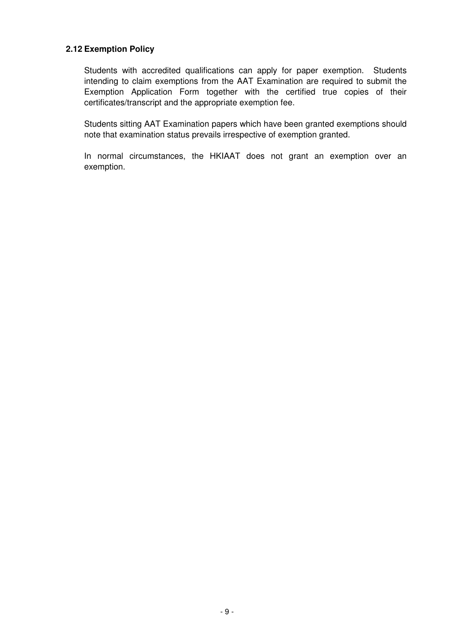#### **2.12 Exemption Policy**

Students with accredited qualifications can apply for paper exemption. Students intending to claim exemptions from the AAT Examination are required to submit the Exemption Application Form together with the certified true copies of their certificates/transcript and the appropriate exemption fee.

Students sitting AAT Examination papers which have been granted exemptions should note that examination status prevails irrespective of exemption granted.

In normal circumstances, the HKIAAT does not grant an exemption over an exemption.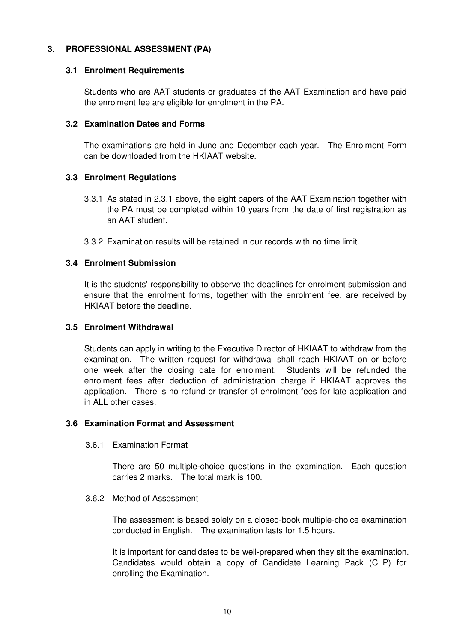#### **3. PROFESSIONAL ASSESSMENT (PA)**

#### **3.1 Enrolment Requirements**

Students who are AAT students or graduates of the AAT Examination and have paid the enrolment fee are eligible for enrolment in the PA.

#### **3.2 Examination Dates and Forms**

The examinations are held in June and December each year. The Enrolment Form can be downloaded from the HKIAAT website.

#### **3.3 Enrolment Regulations**

- 3.3.1 As stated in 2.3.1 above, the eight papers of the AAT Examination together with the PA must be completed within 10 years from the date of first registration as an AAT student.
- 3.3.2 Examination results will be retained in our records with no time limit.

#### **3.4 Enrolment Submission**

It is the students' responsibility to observe the deadlines for enrolment submission and ensure that the enrolment forms, together with the enrolment fee, are received by HKIAAT before the deadline.

#### **3.5 Enrolment Withdrawal**

Students can apply in writing to the Executive Director of HKIAAT to withdraw from the examination. The written request for withdrawal shall reach HKIAAT on or before one week after the closing date for enrolment. Students will be refunded the enrolment fees after deduction of administration charge if HKIAAT approves the application. There is no refund or transfer of enrolment fees for late application and in ALL other cases.

#### **3.6 Examination Format and Assessment**

3.6.1 Examination Format

There are 50 multiple-choice questions in the examination. Each question carries 2 marks. The total mark is 100.

#### 3.6.2 Method of Assessment

The assessment is based solely on a closed-book multiple-choice examination conducted in English. The examination lasts for 1.5 hours.

It is important for candidates to be well-prepared when they sit the examination. Candidates would obtain a copy of Candidate Learning Pack (CLP) for enrolling the Examination.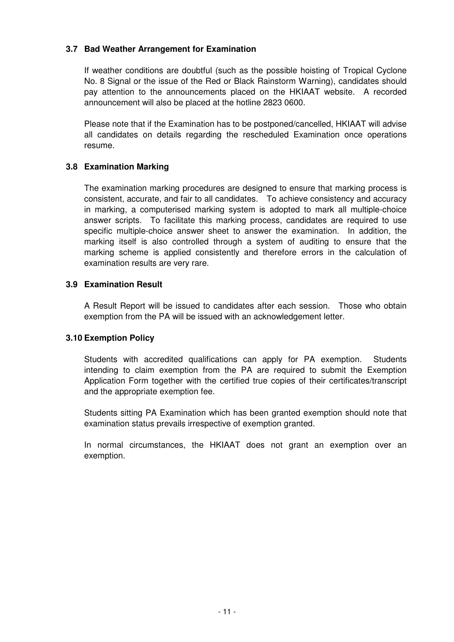#### **3.7 Bad Weather Arrangement for Examination**

If weather conditions are doubtful (such as the possible hoisting of Tropical Cyclone No. 8 Signal or the issue of the Red or Black Rainstorm Warning), candidates should pay attention to the announcements placed on the HKIAAT website. A recorded announcement will also be placed at the hotline 2823 0600.

Please note that if the Examination has to be postponed/cancelled, HKIAAT will advise all candidates on details regarding the rescheduled Examination once operations resume.

#### **3.8 Examination Marking**

The examination marking procedures are designed to ensure that marking process is consistent, accurate, and fair to all candidates. To achieve consistency and accuracy in marking, a computerised marking system is adopted to mark all multiple-choice answer scripts. To facilitate this marking process, candidates are required to use specific multiple-choice answer sheet to answer the examination. In addition, the marking itself is also controlled through a system of auditing to ensure that the marking scheme is applied consistently and therefore errors in the calculation of examination results are very rare.

#### **3.9 Examination Result**

A Result Report will be issued to candidates after each session. Those who obtain exemption from the PA will be issued with an acknowledgement letter.

#### **3.10 Exemption Policy**

Students with accredited qualifications can apply for PA exemption. Students intending to claim exemption from the PA are required to submit the Exemption Application Form together with the certified true copies of their certificates/transcript and the appropriate exemption fee.

Students sitting PA Examination which has been granted exemption should note that examination status prevails irrespective of exemption granted.

In normal circumstances, the HKIAAT does not grant an exemption over an exemption.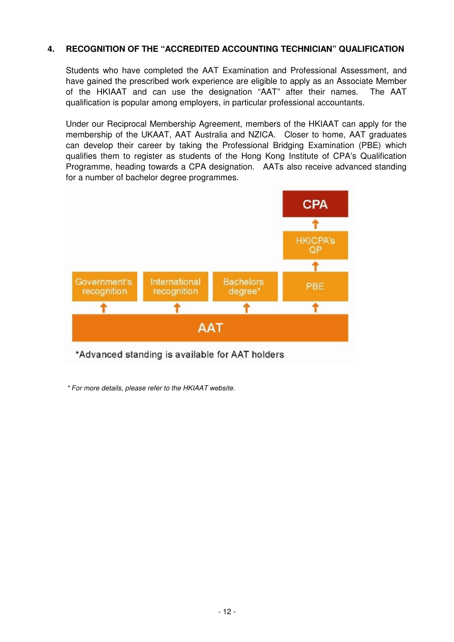#### **4. RECOGNITION OF THE "ACCREDITED ACCOUNTING TECHNICIAN" QUALIFICATION**

Students who have completed the AAT Examination and Professional Assessment, and have gained the prescribed work experience are eligible to apply as an Associate Member of the HKIAAT and can use the designation "AAT" after their names. The AAT qualification is popular among employers, in particular professional accountants.

Under our Reciprocal Membership Agreement, members of the HKIAAT can apply for the membership of the UKAAT, AAT Australia and NZICA. Closer to home, AAT graduates can develop their career by taking the Professional Bridging Examination (PBE) which qualifies them to register as students of the Hong Kong Institute of CPA's Qualification Programme, heading towards a CPA designation. AATs also receive advanced standing for a number of bachelor degree programmes.



\* For more details, please refer to the HKIAAT website.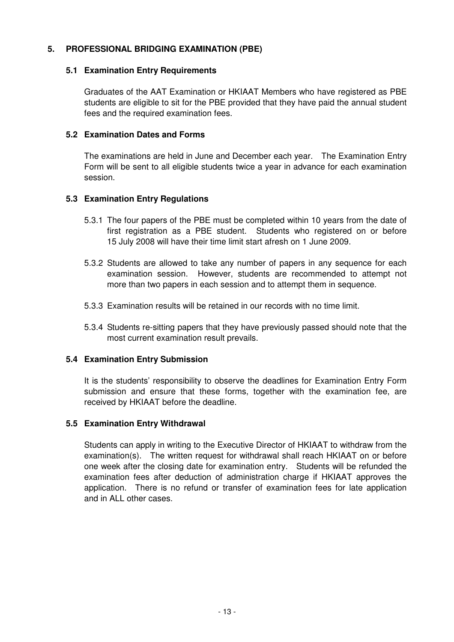#### **5. PROFESSIONAL BRIDGING EXAMINATION (PBE)**

#### **5.1 Examination Entry Requirements**

Graduates of the AAT Examination or HKIAAT Members who have registered as PBE students are eligible to sit for the PBE provided that they have paid the annual student fees and the required examination fees.

#### **5.2 Examination Dates and Forms**

The examinations are held in June and December each year. The Examination Entry Form will be sent to all eligible students twice a year in advance for each examination session.

#### **5.3 Examination Entry Regulations**

- 5.3.1 The four papers of the PBE must be completed within 10 years from the date of first registration as a PBE student. Students who registered on or before 15 July 2008 will have their time limit start afresh on 1 June 2009.
- 5.3.2 Students are allowed to take any number of papers in any sequence for each examination session. However, students are recommended to attempt not more than two papers in each session and to attempt them in sequence.
- 5.3.3 Examination results will be retained in our records with no time limit.
- 5.3.4 Students re-sitting papers that they have previously passed should note that the most current examination result prevails.

#### **5.4 Examination Entry Submission**

It is the students' responsibility to observe the deadlines for Examination Entry Form submission and ensure that these forms, together with the examination fee, are received by HKIAAT before the deadline.

#### **5.5 Examination Entry Withdrawal**

Students can apply in writing to the Executive Director of HKIAAT to withdraw from the examination(s). The written request for withdrawal shall reach HKIAAT on or before one week after the closing date for examination entry. Students will be refunded the examination fees after deduction of administration charge if HKIAAT approves the application. There is no refund or transfer of examination fees for late application and in ALL other cases.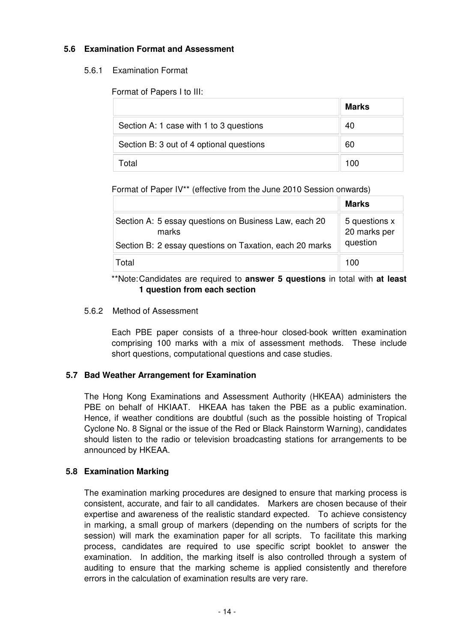#### **5.6 Examination Format and Assessment**

#### 5.6.1 Examination Format

Format of Papers I to III:

|                                          | <b>Marks</b> |
|------------------------------------------|--------------|
| Section A: 1 case with 1 to 3 questions  | 40           |
| Section B: 3 out of 4 optional questions | 60           |
| Total                                    | 100          |

#### Format of Paper IV\*\* (effective from the June 2010 Session onwards)

|                                                                | <b>Marks</b>                  |
|----------------------------------------------------------------|-------------------------------|
| Section A: 5 essay questions on Business Law, each 20<br>marks | 5 questions x<br>20 marks per |
| Section B: 2 essay questions on Taxation, each 20 marks        | question                      |
| Total                                                          | 100                           |

#### \*\*Note: Candidates are required to **answer 5 questions** in total with **at least 1 question from each section**

#### 5.6.2 Method of Assessment

Each PBE paper consists of a three-hour closed-book written examination comprising 100 marks with a mix of assessment methods. These include short questions, computational questions and case studies.

#### **5.7 Bad Weather Arrangement for Examination**

The Hong Kong Examinations and Assessment Authority (HKEAA) administers the PBE on behalf of HKIAAT. HKEAA has taken the PBE as a public examination. Hence, if weather conditions are doubtful (such as the possible hoisting of Tropical Cyclone No. 8 Signal or the issue of the Red or Black Rainstorm Warning), candidates should listen to the radio or television broadcasting stations for arrangements to be announced by HKEAA.

#### **5.8 Examination Marking**

The examination marking procedures are designed to ensure that marking process is consistent, accurate, and fair to all candidates. Markers are chosen because of their expertise and awareness of the realistic standard expected. To achieve consistency in marking, a small group of markers (depending on the numbers of scripts for the session) will mark the examination paper for all scripts. To facilitate this marking process, candidates are required to use specific script booklet to answer the examination. In addition, the marking itself is also controlled through a system of auditing to ensure that the marking scheme is applied consistently and therefore errors in the calculation of examination results are very rare.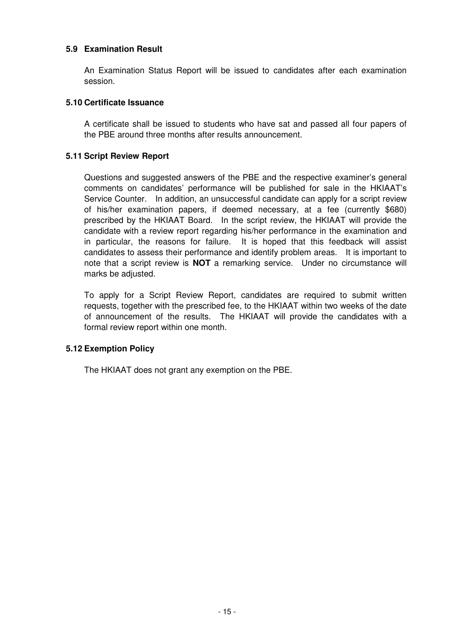#### **5.9 Examination Result**

An Examination Status Report will be issued to candidates after each examination session.

#### **5.10 Certificate Issuance**

A certificate shall be issued to students who have sat and passed all four papers of the PBE around three months after results announcement.

#### **5.11 Script Review Report**

Questions and suggested answers of the PBE and the respective examiner's general comments on candidates' performance will be published for sale in the HKIAAT's Service Counter. In addition, an unsuccessful candidate can apply for a script review of his/her examination papers, if deemed necessary, at a fee (currently \$680) prescribed by the HKIAAT Board. In the script review, the HKIAAT will provide the candidate with a review report regarding his/her performance in the examination and in particular, the reasons for failure. It is hoped that this feedback will assist candidates to assess their performance and identify problem areas. It is important to note that a script review is **NOT** a remarking service. Under no circumstance will marks be adjusted.

To apply for a Script Review Report, candidates are required to submit written requests, together with the prescribed fee, to the HKIAAT within two weeks of the date of announcement of the results. The HKIAAT will provide the candidates with a formal review report within one month.

#### **5.12 Exemption Policy**

The HKIAAT does not grant any exemption on the PBE.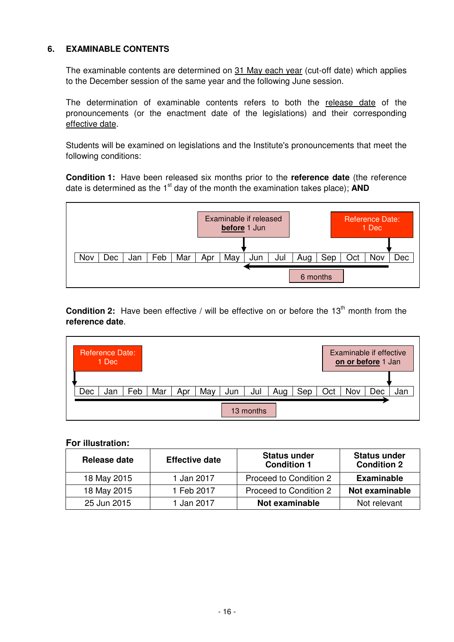#### **6. EXAMINABLE CONTENTS**

The examinable contents are determined on 31 May each year (cut-off date) which applies to the December session of the same year and the following June session.

The determination of examinable contents refers to both the release date of the pronouncements (or the enactment date of the legislations) and their corresponding effective date.

Students will be examined on legislations and the Institute's pronouncements that meet the following conditions:

**Condition 1:** Have been released six months prior to the **reference date** (the reference date is determined as the 1<sup>st</sup> day of the month the examination takes place); **AND** 



**Condition 2:** Have been effective / will be effective on or before the 13<sup>th</sup> month from the **reference date**.



**For illustration:** 

| Release date | <b>Effective date</b> | <b>Status under</b><br><b>Condition 1</b> | <b>Status under</b><br><b>Condition 2</b> |
|--------------|-----------------------|-------------------------------------------|-------------------------------------------|
| 18 May 2015  | 1 Jan 2017            | Proceed to Condition 2                    | <b>Examinable</b>                         |
| 18 May 2015  | 1 Feb 2017            | Proceed to Condition 2                    | Not examinable                            |
| 25 Jun 2015  | 1 Jan 2017            | Not examinable                            | Not relevant                              |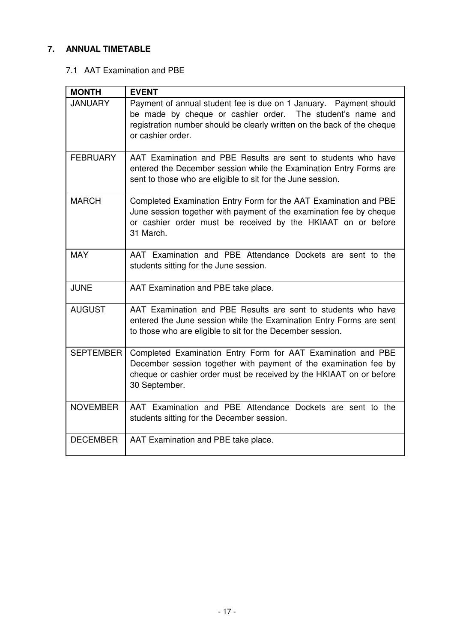## **7. ANNUAL TIMETABLE**

#### 7.1 AAT Examination and PBE

| <b>MONTH</b>     | <b>EVENT</b>                                                                                                                                                                                                                     |
|------------------|----------------------------------------------------------------------------------------------------------------------------------------------------------------------------------------------------------------------------------|
| <b>JANUARY</b>   | Payment of annual student fee is due on 1 January.  Payment should<br>be made by cheque or cashier order. The student's name and<br>registration number should be clearly written on the back of the cheque<br>or cashier order. |
| <b>FEBRUARY</b>  | AAT Examination and PBE Results are sent to students who have<br>entered the December session while the Examination Entry Forms are<br>sent to those who are eligible to sit for the June session.                               |
| <b>MARCH</b>     | Completed Examination Entry Form for the AAT Examination and PBE<br>June session together with payment of the examination fee by cheque<br>or cashier order must be received by the HKIAAT on or before<br>31 March.             |
| <b>MAY</b>       | AAT Examination and PBE Attendance Dockets are sent to the<br>students sitting for the June session.                                                                                                                             |
| <b>JUNE</b>      | AAT Examination and PBE take place.                                                                                                                                                                                              |
| <b>AUGUST</b>    | AAT Examination and PBE Results are sent to students who have<br>entered the June session while the Examination Entry Forms are sent<br>to those who are eligible to sit for the December session.                               |
| <b>SEPTEMBER</b> | Completed Examination Entry Form for AAT Examination and PBE<br>December session together with payment of the examination fee by<br>cheque or cashier order must be received by the HKIAAT on or before<br>30 September.         |
| <b>NOVEMBER</b>  | AAT Examination and PBE Attendance Dockets are sent to the<br>students sitting for the December session.                                                                                                                         |
| <b>DECEMBER</b>  | AAT Examination and PBE take place.                                                                                                                                                                                              |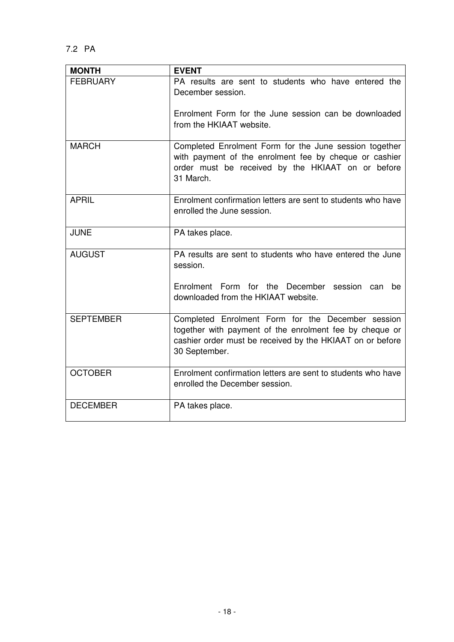| <b>MONTH</b>     | <b>EVENT</b>                                                                                                                                                                               |
|------------------|--------------------------------------------------------------------------------------------------------------------------------------------------------------------------------------------|
| <b>FEBRUARY</b>  | PA results are sent to students who have entered the<br>December session.<br>Enrolment Form for the June session can be downloaded<br>from the HKIAAT website.                             |
| <b>MARCH</b>     | Completed Enrolment Form for the June session together<br>with payment of the enrolment fee by cheque or cashier<br>order must be received by the HKIAAT on or before<br>31 March.         |
| <b>APRIL</b>     | Enrolment confirmation letters are sent to students who have<br>enrolled the June session.                                                                                                 |
| <b>JUNE</b>      | PA takes place.                                                                                                                                                                            |
| <b>AUGUST</b>    | PA results are sent to students who have entered the June<br>session.<br>Enrolment Form for the December session can<br>be<br>downloaded from the HKIAAT website.                          |
| <b>SEPTEMBER</b> | Completed Enrolment Form for the December session<br>together with payment of the enrolment fee by cheque or<br>cashier order must be received by the HKIAAT on or before<br>30 September. |
| <b>OCTOBER</b>   | Enrolment confirmation letters are sent to students who have<br>enrolled the December session.                                                                                             |
| <b>DECEMBER</b>  | PA takes place.                                                                                                                                                                            |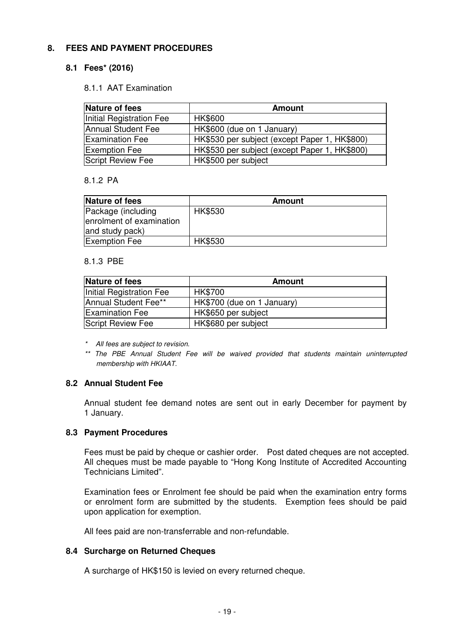#### **8. FEES AND PAYMENT PROCEDURES**

#### **8.1 Fees\* (2016)**

#### 8.1.1 AAT Examination

| Nature of fees           | <b>Amount</b>                                 |
|--------------------------|-----------------------------------------------|
| Initial Registration Fee | <b>HK\$600</b>                                |
| Annual Student Fee       | HK\$600 (due on 1 January)                    |
| <b>Examination Fee</b>   | HK\$530 per subject (except Paper 1, HK\$800) |
| <b>Exemption Fee</b>     | HK\$530 per subject (except Paper 1, HK\$800) |
| Script Review Fee        | HK\$500 per subject                           |

#### 8.1.2 PA

| Nature of fees           | <b>Amount</b>  |
|--------------------------|----------------|
| Package (including       | <b>HK\$530</b> |
| enrolment of examination |                |
| and study pack)          |                |
| <b>Exemption Fee</b>     | <b>HK\$530</b> |

#### 8.1.3 PBE

| Nature of fees           | Amount                     |
|--------------------------|----------------------------|
| Initial Registration Fee | <b>HK\$700</b>             |
| Annual Student Fee**     | HK\$700 (due on 1 January) |
| <b>Examination Fee</b>   | HK\$650 per subject        |
| Script Review Fee        | HK\$680 per subject        |

- \* All fees are subject to revision.
- \*\* The PBE Annual Student Fee will be waived provided that students maintain uninterrupted membership with HKIAAT.

#### **8.2 Annual Student Fee**

Annual student fee demand notes are sent out in early December for payment by 1 January.

#### **8.3 Payment Procedures**

Fees must be paid by cheque or cashier order. Post dated cheques are not accepted. All cheques must be made payable to "Hong Kong Institute of Accredited Accounting Technicians Limited".

Examination fees or Enrolment fee should be paid when the examination entry forms or enrolment form are submitted by the students. Exemption fees should be paid upon application for exemption.

All fees paid are non-transferrable and non-refundable.

#### **8.4 Surcharge on Returned Cheques**

A surcharge of HK\$150 is levied on every returned cheque.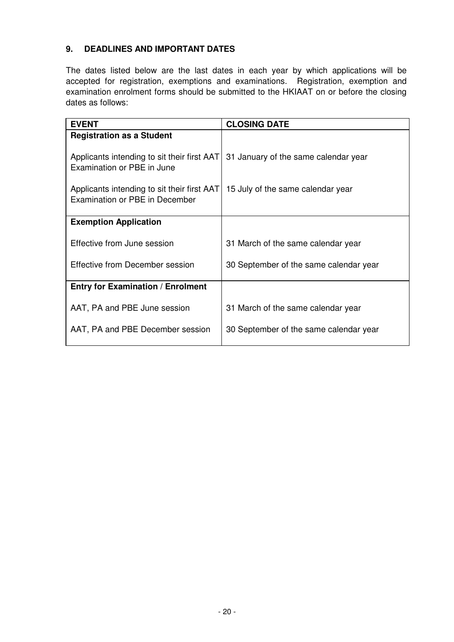## **9. DEADLINES AND IMPORTANT DATES**

The dates listed below are the last dates in each year by which applications will be accepted for registration, exemptions and examinations. Registration, exemption and examination enrolment forms should be submitted to the HKIAAT on or before the closing dates as follows:

| <b>CLOSING DATE</b>                                                                 |
|-------------------------------------------------------------------------------------|
|                                                                                     |
|                                                                                     |
| Applicants intending to sit their first AAT<br>31 January of the same calendar year |
|                                                                                     |
|                                                                                     |
| Applicants intending to sit their first AAT<br>15 July of the same calendar year    |
|                                                                                     |
|                                                                                     |
|                                                                                     |
| 31 March of the same calendar year                                                  |
|                                                                                     |
| 30 September of the same calendar year                                              |
|                                                                                     |
|                                                                                     |
|                                                                                     |
| 31 March of the same calendar year                                                  |
| 30 September of the same calendar year                                              |
|                                                                                     |
|                                                                                     |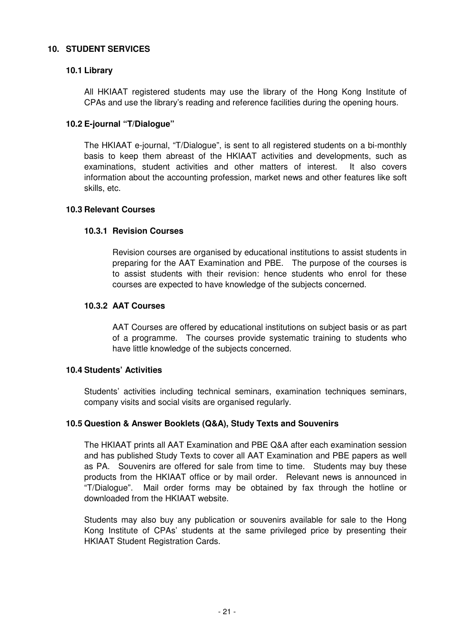#### **10. STUDENT SERVICES**

#### **10.1 Library**

All HKIAAT registered students may use the library of the Hong Kong Institute of CPAs and use the library's reading and reference facilities during the opening hours.

#### **10.2 E-journal "T/Dialogue"**

The HKIAAT e-journal, "T/Dialogue", is sent to all registered students on a bi-monthly basis to keep them abreast of the HKIAAT activities and developments, such as examinations, student activities and other matters of interest. It also covers information about the accounting profession, market news and other features like soft skills, etc.

#### **10.3 Relevant Courses**

#### **10.3.1 Revision Courses**

Revision courses are organised by educational institutions to assist students in preparing for the AAT Examination and PBE. The purpose of the courses is to assist students with their revision: hence students who enrol for these courses are expected to have knowledge of the subjects concerned.

#### **10.3.2 AAT Courses**

AAT Courses are offered by educational institutions on subject basis or as part of a programme. The courses provide systematic training to students who have little knowledge of the subjects concerned.

#### **10.4 Students' Activities**

Students' activities including technical seminars, examination techniques seminars, company visits and social visits are organised regularly.

#### **10.5 Question & Answer Booklets (Q&A), Study Texts and Souvenirs**

The HKIAAT prints all AAT Examination and PBE Q&A after each examination session and has published Study Texts to cover all AAT Examination and PBE papers as well as PA. Souvenirs are offered for sale from time to time. Students may buy these products from the HKIAAT office or by mail order. Relevant news is announced in "T/Dialogue". Mail order forms may be obtained by fax through the hotline or downloaded from the HKIAAT website.

Students may also buy any publication or souvenirs available for sale to the Hong Kong Institute of CPAs' students at the same privileged price by presenting their HKIAAT Student Registration Cards.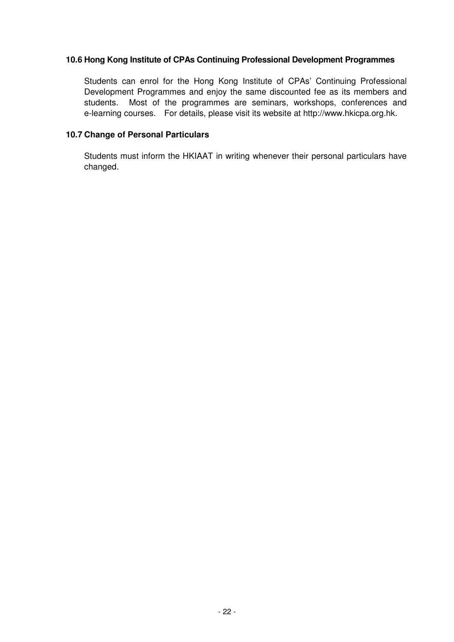#### **10.6 Hong Kong Institute of CPAs Continuing Professional Development Programmes**

Students can enrol for the Hong Kong Institute of CPAs' Continuing Professional Development Programmes and enjoy the same discounted fee as its members and students. Most of the programmes are seminars, workshops, conferences and e-learning courses. For details, please visit its website at http://www.hkicpa.org.hk.

#### **10.7 Change of Personal Particulars**

Students must inform the HKIAAT in writing whenever their personal particulars have changed.